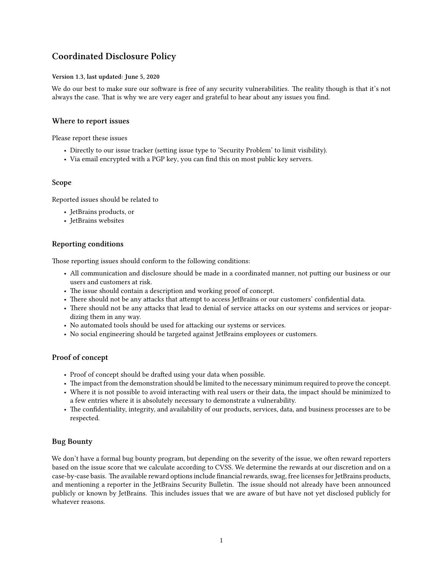# **Coordinated Disclosure Policy**

#### **Version 1.3, last updated: June 5, 2020**

We do our best to make sure our software is free of any security vulnerabilities. The reality though is that it's not always the case. That is why we are very eager and grateful to hear about any issues you find.

## **Where to report issues**

Please report these issues

- Directly to our [issue tracker](https://youtrack.jetbrains.com) (setting issue type to 'Security Problem' to limit visibility).
- [Via email](mailto:security@jetbrains.com) encrypted with a [PGP key,](https://www.jetbrains.com/privacy-security/) you can find this on most public key servers.

#### **Scope**

Reported issues should be related to

- [JetBrains products](https://www.jetbrains.com/products.html), or
- [JetBrains websites](https://www.jetbrains.com/legal/websites/)

#### **Reporting conditions**

Those reporting issues should conform to the following conditions:

- All communication and disclosure should be made in a coordinated manner, not putting our business or our users and customers at risk.
- The issue should contain a description and working proof of concept.
- There should not be any attacks that attempt to access JetBrains or our customers' confidential data.
- There should not be any attacks that lead to denial of service attacks on our systems and services or jeopardizing them in any way.
- No automated tools should be used for attacking our systems or services.
- No social engineering should be targeted against JetBrains employees or customers.

## **Proof of concept**

- Proof of concept should be drafted using your data when possible.
- The impact from the demonstration should be limited to the necessary minimum required to prove the concept.
- Where it is not possible to avoid interacting with real users or their data, the impact should be minimized to a few entries where it is absolutely necessary to demonstrate a vulnerability.
- The confidentiality, integrity, and availability of our products, services, data, and business processes are to be respected.

## **Bug Bounty**

We don't have a formal bug bounty program, but depending on the severity of the issue, we often reward reporters based on the issue score that we calculate according to [CVSS](https://www.first.org/cvss). We determine the rewards at our discretion and on a case-by-case basis. The available reward options include financial rewards, swag, free licenses for JetBrains products, and mentioning a reporter in the JetBrains Security Bulletin. The issue should not already have been announced publicly or known by JetBrains. This includes issues that we are aware of but have not yet disclosed publicly for whatever reasons.